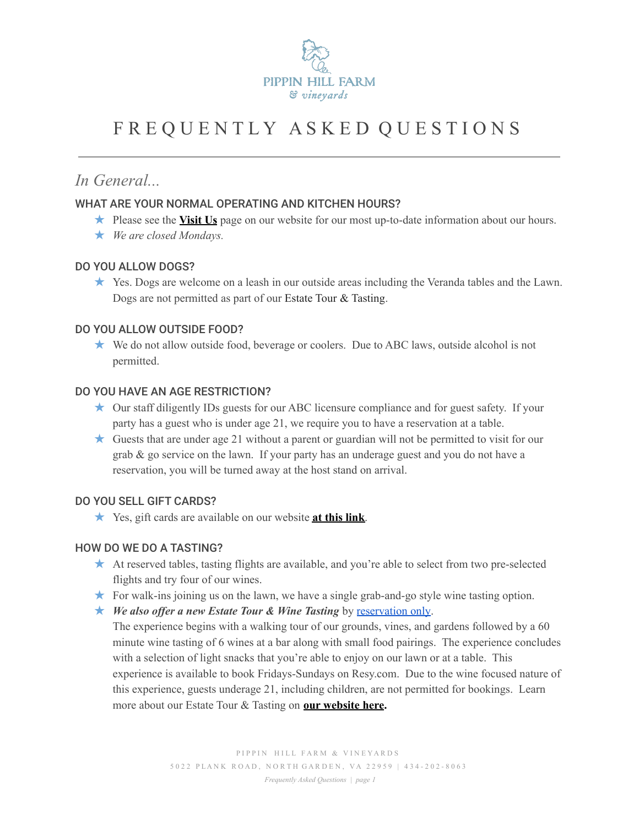

# F R E Q U E N T L Y A S K E D Q U E S T I O N S

## *In General...*

## WHAT ARE YOUR NORMAL OPERATING AND KITCHEN HOURS?

- ★ Please see the **[Visit](https://www.pippinhillfarm.com/visit-us/) Us** page on our website for our most up-to-date information about our hours.
- ★ *We are closed Mondays.*

#### DO YOU ALLOW DOGS?

★ Yes. Dogs are welcome on a leash in our outside areas including the Veranda tables and the Lawn. Dogs are not permitted as part of our Estate Tour & Tasting.

## DO YOU ALLOW OUTSIDE FOOD?

★ We do not allow outside food, beverage or coolers. Due to ABC laws, outside alcohol is not permitted.

#### DO YOU HAVE AN AGE RESTRICTION?

- ★ Our staff diligently IDs guests for our ABC licensure compliance and for guest safety. If your party has a guest who is under age 21, we require you to have a reservation at a table.
- ★ Guests that are under age 21 without a parent or guardian will not be permitted to visit for our grab & go service on the lawn. If your party has an underage guest and you do not have a reservation, you will be turned away at the host stand on arrival.

## DO YOU SELL GIFT CARDS?

★ Yes, gift cards are available on our website **at this [link](https://egift.technology/Main.aspx?key=pippinhillfarm)**.

## HOW DO WE DO A TASTING?

- ★ At reserved tables, tasting flights are available, and you're able to select from two pre-selected flights and try four of our wines.
- ★ For walk-ins joining us on the lawn, we have a single grab-and-go style wine tasting option.
- ★ *We also offer a new Estate Tour & Wine Tasting* by [reservation](https://resy.com/cities/cho/pippin-hill-farm-and-vineyards?date=2021-07-03&seats=2) only.

The experience begins with a walking tour of our grounds, vines, and gardens followed by a 60 minute wine tasting of 6 wines at a bar along with small food pairings. The experience concludes with a selection of light snacks that you're able to enjoy on our lawn or at a table. This experience is available to book Fridays-Sundays on Resy.com. Due to the wine focused nature of this experience, guests underage 21, including children, are not permitted for bookings. Learn more about our Estate Tour & Tasting on **our [website](https://www.pippinhillfarm.com/blog/guided-wine-tasting-experience/) here.**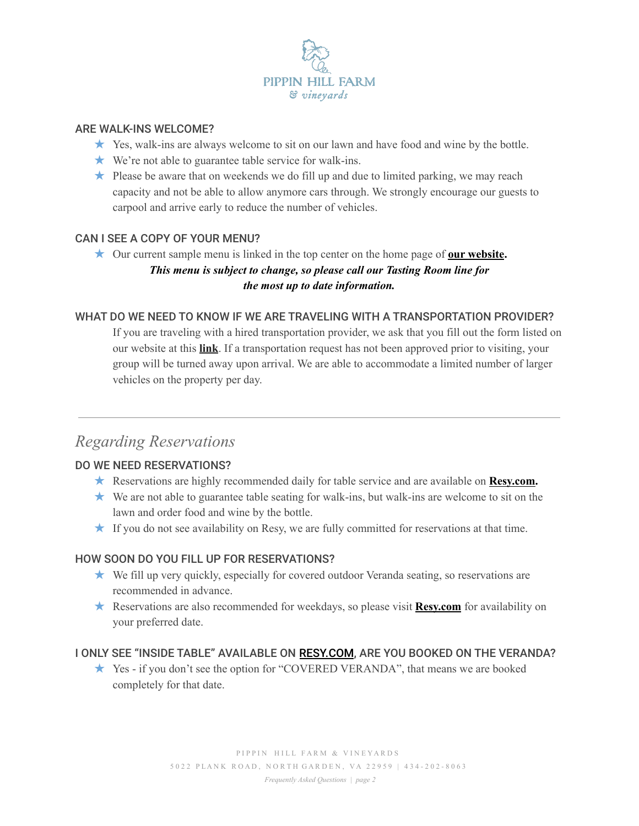

#### ARE WALK-INS WELCOME?

- ★ Yes, walk-ins are always welcome to sit on our lawn and have food and wine by the bottle.
- ★ We're not able to guarantee table service for walk-ins.
- $\star$  Please be aware that on weekends we do fill up and due to limited parking, we may reach capacity and not be able to allow anymore cars through. We strongly encourage our guests to carpool and arrive early to reduce the number of vehicles.

## CAN I SEE A COPY OF YOUR MENU?

★ Our current sample menu is linked in the top center on the home page of **our [website](https://www.pippinhillfarm.com/).** *This menu is subject to change, so please call our Tasting Room line for the most up to date information.*

#### WHAT DO WE NEED TO KNOW IF WE ARE TRAVELING WITH A TRANSPORTATION PROVIDER?

If you are traveling with a hired transportation provider, we ask that you fill out the form listed on our website at this **[link](https://eastonporter.wufoo.com/forms/z17wcalr1ctxdfn/)**. If a transportation request has not been approved prior to visiting, your group will be turned away upon arrival. We are able to accommodate a limited number of larger vehicles on the property per day.

## *Regarding Reservations*

## DO WE NEED RESERVATIONS?

- ★ Reservations are highly recommended daily for table service and are available on **[Resy.com](https://resy.com/cities/cho/pippin-hill-farm-and-vineyards).**
- ★ We are not able to guarantee table seating for walk-ins, but walk-ins are welcome to sit on the lawn and order food and wine by the bottle.
- $\star$  If you do not see availability on Resy, we are fully committed for reservations at that time.

## HOW SOON DO YOU FILL UP FOR RESERVATIONS?

- ★ We fill up very quickly, especially for covered outdoor Veranda seating, so reservations are recommended in advance.
- ★ Reservations are also recommended for weekdays, so please visit **[Resy.com](https://resy.com/cities/cho/pippin-hill-farm-and-vineyards)** for availability on your preferred date.

#### I ONLY SEE "INSIDE TABLE" AVAILABLE ON [RESY.COM](https://resy.com/cities/cho/pippin-hill-farm-and-vineyards), ARE YOU BOOKED ON THE VERANDA?

★ Yes - if you don't see the option for "COVERED VERANDA", that means we are booked completely for that date.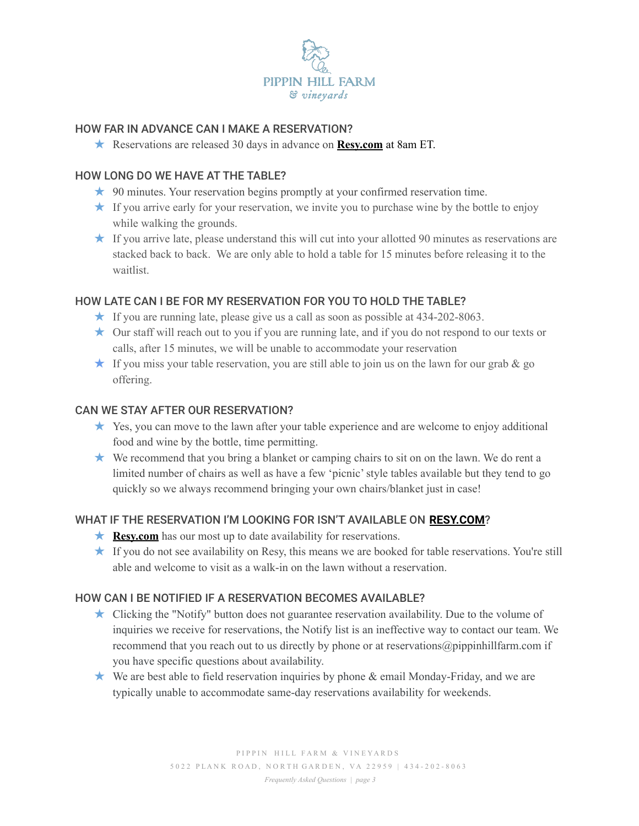

## HOW FAR IN ADVANCE CAN I MAKE A RESERVATION?

★ Reservations are released 30 days in advance on **[Resy.com](https://resy.com/cities/cho/pippin-hill-farm-and-vineyards)** at 8am ET.

## HOW LONG DO WE HAVE AT THE TABLE?

- ★ 90 minutes. Your reservation begins promptly at your confirmed reservation time.
- $\star$  If you arrive early for your reservation, we invite you to purchase wine by the bottle to enjoy while walking the grounds.
- $\star$  If you arrive late, please understand this will cut into your allotted 90 minutes as reservations are stacked back to back. We are only able to hold a table for 15 minutes before releasing it to the waitlist.

## HOW LATE CAN I BE FOR MY RESERVATION FOR YOU TO HOLD THE TABLE?

- $\star$  If you are running late, please give us a call as soon as possible at 434-202-8063.
- ★ Our staff will reach out to you if you are running late, and if you do not respond to our texts or calls, after 15 minutes, we will be unable to accommodate your reservation
- $\star$  If you miss your table reservation, you are still able to join us on the lawn for our grab  $\&$  go offering.

## CAN WE STAY AFTER OUR RESERVATION?

- ★ Yes, you can move to the lawn after your table experience and are welcome to enjoy additional food and wine by the bottle, time permitting.
- ★ We recommend that you bring a blanket or camping chairs to sit on on the lawn. We do rent a limited number of chairs as well as have a few 'picnic'style tables available but they tend to go quickly so we always recommend bringing your own chairs/blanket just in case!

## WHAT IF THE RESERVATION I'M LOOKING FOR ISN'T AVAILABLE ON **[RESY.COM](https://resy.com/cities/cho/pippin-hill-farm-and-vineyards)**?

- **★ [Resy.com](https://resy.com/cities/cho/pippin-hill-farm-and-vineyards)** has our most up to date availability for reservations.
- ★ If you do not see availability on Resy, this means we are booked for table reservations. You're still able and welcome to visit as a walk-in on the lawn without a reservation.

## HOW CAN I BE NOTIFIED IF A RESERVATION BECOMES AVAILABLE?

- ★ Clicking the "Notify" button does not guarantee reservation availability. Due to the volume of inquiries we receive for reservations, the Notify list is an ineffective way to contact our team. We recommend that you reach out to us directly by phone or at reservations@pippinhillfarm.com if you have specific questions about availability.
- ★ We are best able to field reservation inquiries by phone & email Monday-Friday, and we are typically unable to accommodate same-day reservations availability for weekends.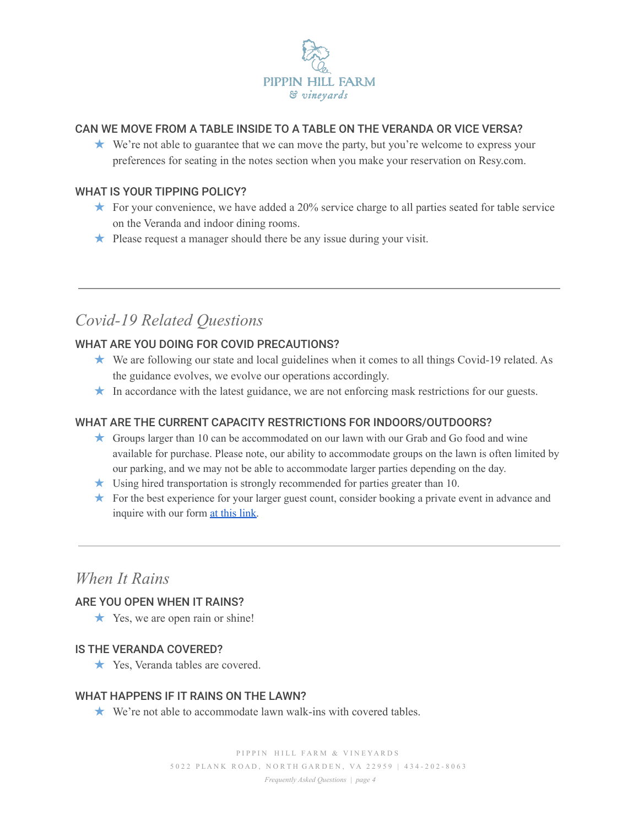

## CAN WE MOVE FROM A TABLE INSIDE TO A TABLE ON THE VERANDA OR VICE VERSA?

★ We're not able to guarantee that we can move the party, but you're welcome to express your preferences for seating in the notes section when you make your reservation on Resy.com.

## WHAT IS YOUR TIPPING POLICY?

- $\star$  For your convenience, we have added a 20% service charge to all parties seated for table service on the Veranda and indoor dining rooms.
- ★ Please request a manager should there be any issue during your visit.

## *Covid-19 Related Questions*

## WHAT ARE YOU DOING FOR COVID PRECAUTIONS?

- ★ We are following our state and local guidelines when it comes to all things Covid-19 related. As the guidance evolves, we evolve our operations accordingly.
- ★ In accordance with the latest guidance, we are not enforcing mask restrictions for our guests.

## WHAT ARE THE CURRENT CAPACITY RESTRICTIONS FOR INDOORS/OUTDOORS?

- ★ Groups larger than 10 can be accommodated on our lawn with our Grab and Go food and wine available for purchase. Please note, our ability to accommodate groups on the lawn is often limited by our parking, and we may not be able to accommodate larger parties depending on the day.
- ★ Using hired transportation is strongly recommended for parties greater than 10.
- ★ For the best experience for your larger guest count, consider booking a private event in advance and inquire with our form [at this link.](https://www.pippinhillfarm.com/private-events/#inquire)

## *When It Rains*

## ARE YOU OPEN WHEN IT RAINS?

 $\star$  Yes, we are open rain or shine!

#### IS THE VERANDA COVERED?

★ Yes, Veranda tables are covered.

## WHAT HAPPENS IF IT RAINS ON THE LAWN?

★ We're not able to accommodate lawn walk-ins with covered tables.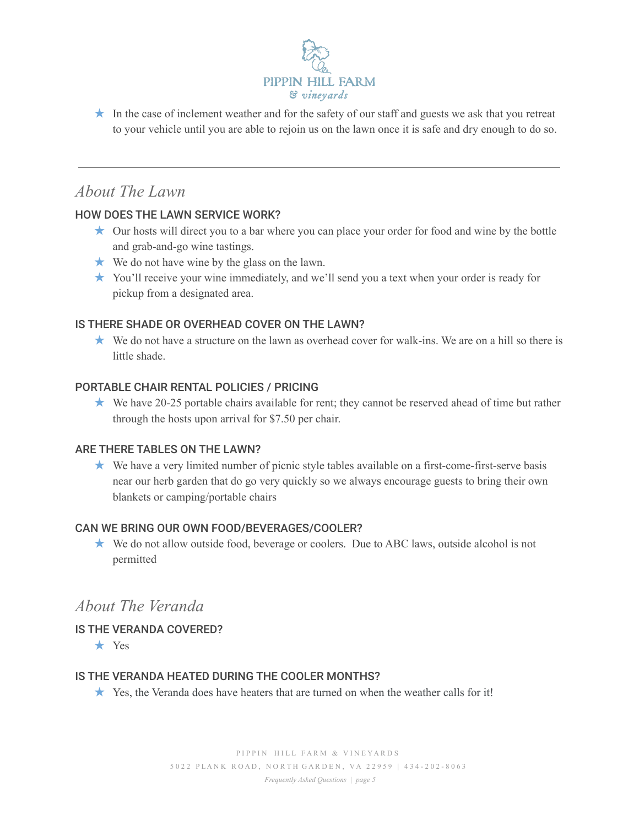

★ In the case of inclement weather and for the safety of our staff and guests we ask that you retreat to your vehicle until you are able to rejoin us on the lawn once it is safe and dry enough to do so.

## *About The Lawn*

## HOW DOES THE LAWN SERVICE WORK?

- ★ Our hosts will direct you to a bar where you can place your order for food and wine by the bottle and grab-and-go wine tastings.
- ★ We do not have wine by the glass on the lawn.
- ★ You'll receive your wine immediately, and we'll send you a text when your order is ready for pickup from a designated area.

## IS THERE SHADE OR OVERHEAD COVER ON THE LAWN?

★ We do not have a structure on the lawn as overhead cover for walk-ins. We are on a hill so there is little shade.

## PORTABLE CHAIR RENTAL POLICIES / PRICING

★ We have 20-25 portable chairs available for rent; they cannot be reserved ahead of time but rather through the hosts upon arrival for \$7.50 per chair.

#### ARE THERE TABLES ON THE LAWN?

★ We have a very limited number of picnic style tables available on a first-come-first-serve basis near our herb garden that do go very quickly so we always encourage guests to bring their own blankets or camping/portable chairs

#### CAN WE BRING OUR OWN FOOD/BEVERAGES/COOLER?

★ We do not allow outside food, beverage or coolers. Due to ABC laws, outside alcohol is not permitted

## *About The Veranda*

## IS THE VERANDA COVERED?

★ Yes

## IS THE VERANDA HEATED DURING THE COOLER MONTHS?

★ Yes, the Veranda does have heaters that are turned on when the weather calls for it!